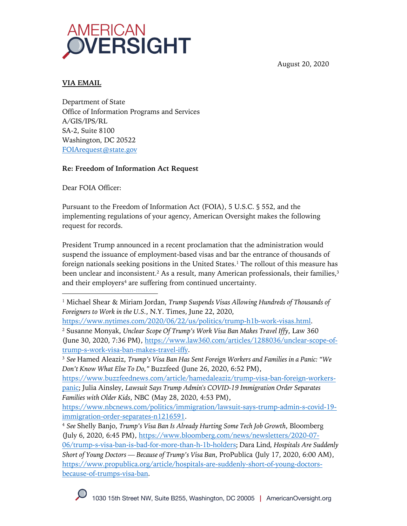

August 20, 2020

### **VIA EMAIL**

Department of State Office of Information Programs and Services A/GIS/IPS/RL SA-2, Suite 8100 Washington, DC 20522 FOIArequest@state.gov

### **Re: Freedom of Information Act Request**

Dear FOIA Officer:

Pursuant to the Freedom of Information Act (FOIA), 5 U.S.C. § 552, and the implementing regulations of your agency, American Oversight makes the following request for records.

President Trump announced in a recent proclamation that the administration would suspend the issuance of employment-based visas and bar the entrance of thousands of foreign nationals seeking positions in the United States.<sup>1</sup> The rollout of this measure has been unclear and inconsistent.<sup>2</sup> As a result, many American professionals, their families,<sup>3</sup> and their employers<sup>4</sup> are suffering from continued uncertainty.

<sup>1</sup> Michael Shear & Miriam Jordan, *Trump Suspends Visas Allowing Hundreds of Thousands of Foreigners to Work in the U.S.*, N.Y. Times, June 22, 2020,

https://www.nytimes.com/2020/06/22/us/politics/trump-h1b-work-visas.html. <sup>2</sup> Susanne Monyak, *Unclear Scope Of Trump's Work Visa Ban Makes Travel Iffy*, Law 360 (June 30, 2020, 7:36 PM), https://www.law360.com/articles/1288036/unclear-scope-oftrump-s-work-visa-ban-makes-travel-iffy.

<sup>3</sup> *See* Hamed Aleaziz, *Trump's Visa Ban Has Sent Foreign Workers and Families in a Panic: "We Don't Know What Else To Do,"* Buzzfeed (June 26, 2020, 6:52 PM),

https://www.buzzfeednews.com/article/hamedaleaziz/trump-visa-ban-foreign-workerspanic; Julia Ainsley, *Lawsuit Says Trump Admin's COVID-19 Immigration Order Separates Families with Older Kids*, NBC (May 28, 2020, 4:53 PM),

https://www.nbcnews.com/politics/immigration/lawsuit-says-trump-admin-s-covid-19 immigration-order-separates-n1216591.

<sup>4</sup> *See* Shelly Banjo, *Trump's Visa Ban Is Already Hurting Some Tech Job Growth*, Bloomberg (July 6, 2020, 6:45 PM), https://www.bloomberg.com/news/newsletters/2020-07- 06/trump-s-visa-ban-is-bad-for-more-than-h-1b-holders; Dara Lind*, Hospitals Are Suddenly Short of Young Doctors — Because of Trump's Visa Ban*, ProPublica (July 17, 2020, 6:00 AM), https://www.propublica.org/article/hospitals-are-suddenly-short-of-young-doctorsbecause-of-trumps-visa-ban.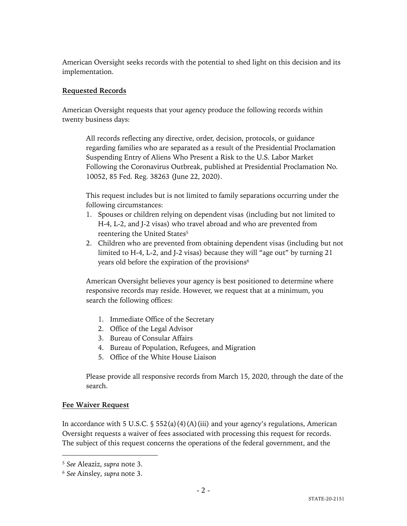American Oversight seeks records with the potential to shed light on this decision and its implementation.

## **Requested Records**

American Oversight requests that your agency produce the following records within twenty business days:

All records reflecting any directive, order, decision, protocols, or guidance regarding families who are separated as a result of the Presidential Proclamation Suspending Entry of Aliens Who Present a Risk to the U.S. Labor Market Following the Coronavirus Outbreak, published at Presidential Proclamation No. 10052, 85 Fed. Reg. 38263 (June 22, 2020).

This request includes but is not limited to family separations occurring under the following circumstances:

- 1. Spouses or children relying on dependent visas (including but not limited to H-4, L-2, and J-2 visas) who travel abroad and who are prevented from reentering the United States<sup>5</sup>
- 2. Children who are prevented from obtaining dependent visas (including but not limited to H-4, L-2, and J-2 visas) because they will "age out" by turning 21 years old before the expiration of the provisions<sup>6</sup>

American Oversight believes your agency is best positioned to determine where responsive records may reside. However, we request that at a minimum, you search the following offices:

- 1. Immediate Office of the Secretary
- 2. Office of the Legal Advisor
- 3. Bureau of Consular Affairs
- 4. Bureau of Population, Refugees, and Migration
- 5. Office of the White House Liaison

Please provide all responsive records from March 15, 2020, through the date of the search.

# **Fee Waiver Request**

In accordance with 5 U.S.C.  $\frac{1}{5}$  552(a)(4)(A)(iii) and your agency's regulations, American Oversight requests a waiver of fees associated with processing this request for records. The subject of this request concerns the operations of the federal government, and the

<sup>5</sup> *See* Aleaziz, *supra* note 3.

<sup>6</sup> *See* Ainsley, *supra* note 3.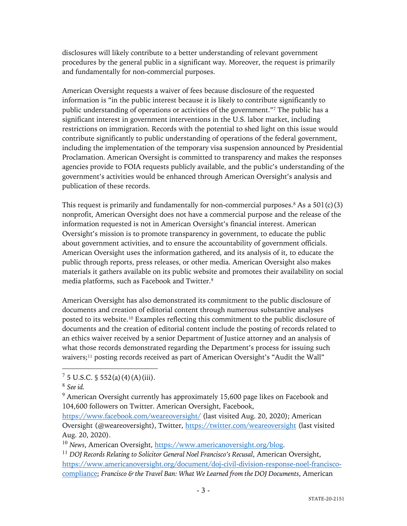disclosures will likely contribute to a better understanding of relevant government procedures by the general public in a significant way. Moreover, the request is primarily and fundamentally for non-commercial purposes.

American Oversight requests a waiver of fees because disclosure of the requested information is "in the public interest because it is likely to contribute significantly to public understanding of operations or activities of the government."7 The public has a significant interest in government interventions in the U.S. labor market, including restrictions on immigration. Records with the potential to shed light on this issue would contribute significantly to public understanding of operations of the federal government, including the implementation of the temporary visa suspension announced by Presidential Proclamation. American Oversight is committed to transparency and makes the responses agencies provide to FOIA requests publicly available, and the public's understanding of the government's activities would be enhanced through American Oversight's analysis and publication of these records.

This request is primarily and fundamentally for non-commercial purposes.<sup>8</sup> As a  $501(c)(3)$ nonprofit, American Oversight does not have a commercial purpose and the release of the information requested is not in American Oversight's financial interest. American Oversight's mission is to promote transparency in government, to educate the public about government activities, and to ensure the accountability of government officials. American Oversight uses the information gathered, and its analysis of it, to educate the public through reports, press releases, or other media. American Oversight also makes materials it gathers available on its public website and promotes their availability on social media platforms, such as Facebook and Twitter.9

American Oversight has also demonstrated its commitment to the public disclosure of documents and creation of editorial content through numerous substantive analyses posted to its website.10 Examples reflecting this commitment to the public disclosure of documents and the creation of editorial content include the posting of records related to an ethics waiver received by a senior Department of Justice attorney and an analysis of what those records demonstrated regarding the Department's process for issuing such waivers;<sup>11</sup> posting records received as part of American Oversight's "Audit the Wall"

 $7\,5$  U.S.C. § 552(a)(4)(A)(iii).

<sup>8</sup> *See id.*

 $9$  American Oversight currently has approximately 15,600 page likes on Facebook and 104,600 followers on Twitter. American Oversight, Facebook,

https://www.facebook.com/weareoversight/ (last visited Aug. 20, 2020); American Oversight (@weareoversight), Twitter, https://twitter.com/weareoversight (last visited Aug. 20, 2020).

<sup>&</sup>lt;sup>10</sup> News, American Oversight, https://www.americanoversight.org/blog.

<sup>11</sup> *DOJ Records Relating to Solicitor General Noel Francisco's Recusal*, American Oversight, https://www.americanoversight.org/document/doj-civil-division-response-noel-franciscocompliance; *Francisco & the Travel Ban: What We Learned from the DOJ Documents*, American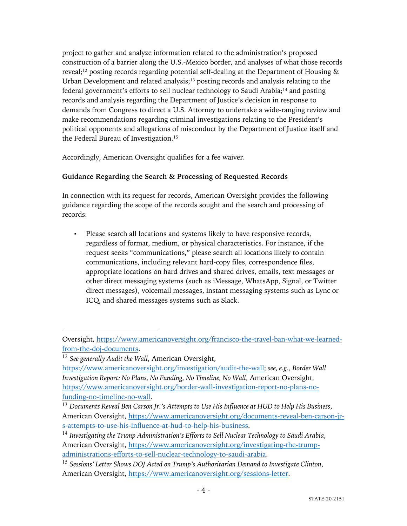project to gather and analyze information related to the administration's proposed construction of a barrier along the U.S.-Mexico border, and analyses of what those records reveal;<sup>12</sup> posting records regarding potential self-dealing at the Department of Housing  $\&$ Urban Development and related analysis;<sup>13</sup> posting records and analysis relating to the federal government's efforts to sell nuclear technology to Saudi Arabia;<sup>14</sup> and posting records and analysis regarding the Department of Justice's decision in response to demands from Congress to direct a U.S. Attorney to undertake a wide-ranging review and make recommendations regarding criminal investigations relating to the President's political opponents and allegations of misconduct by the Department of Justice itself and the Federal Bureau of Investigation.15

Accordingly, American Oversight qualifies for a fee waiver.

# **Guidance Regarding the Search & Processing of Requested Records**

In connection with its request for records, American Oversight provides the following guidance regarding the scope of the records sought and the search and processing of records:

Please search all locations and systems likely to have responsive records, regardless of format, medium, or physical characteristics. For instance, if the request seeks "communications," please search all locations likely to contain communications, including relevant hard-copy files, correspondence files, appropriate locations on hard drives and shared drives, emails, text messages or other direct messaging systems (such as iMessage, WhatsApp, Signal, or Twitter direct messages), voicemail messages, instant messaging systems such as Lync or ICQ, and shared messages systems such as Slack.

Oversight, https://www.americanoversight.org/francisco-the-travel-ban-what-we-learnedfrom-the-doj-documents.

<sup>12</sup> *See generally Audit the Wall*, American Oversight,

https://www.americanoversight.org/investigation/audit-the-wall; *see, e.g.*, *Border Wall Investigation Report: No Plans, No Funding, No Timeline, No Wall*, American Oversight, https://www.americanoversight.org/border-wall-investigation-report-no-plans-nofunding-no-timeline-no-wall.

<sup>13</sup> *Documents Reveal Ben Carson Jr.'s Attempts to Use His Influence at HUD to Help His Business*, American Oversight, https://www.americanoversight.org/documents-reveal-ben-carson-jrs-attempts-to-use-his-influence-at-hud-to-help-his-business.

<sup>14</sup> *Investigating the Trump Administration's Efforts to Sell Nuclear Technology to Saudi Arabia*, American Oversight, https://www.americanoversight.org/investigating-the-trumpadministrations-efforts-to-sell-nuclear-technology-to-saudi-arabia.

<sup>15</sup> *Sessions' Letter Shows DOJ Acted on Trump's Authoritarian Demand to Investigate Clinton*, American Oversight, https://www.americanoversight.org/sessions-letter.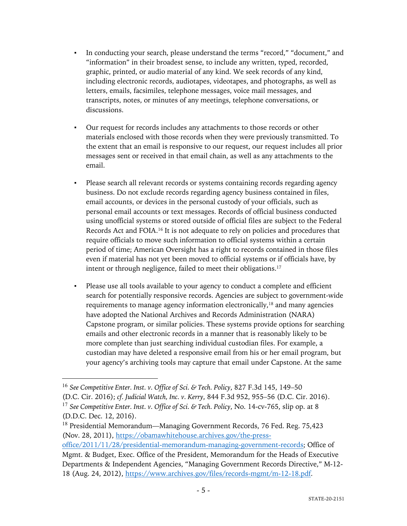- In conducting your search, please understand the terms "record," "document," and "information" in their broadest sense, to include any written, typed, recorded, graphic, printed, or audio material of any kind. We seek records of any kind, including electronic records, audiotapes, videotapes, and photographs, as well as letters, emails, facsimiles, telephone messages, voice mail messages, and transcripts, notes, or minutes of any meetings, telephone conversations, or discussions.
- Our request for records includes any attachments to those records or other materials enclosed with those records when they were previously transmitted. To the extent that an email is responsive to our request, our request includes all prior messages sent or received in that email chain, as well as any attachments to the email.
- Please search all relevant records or systems containing records regarding agency business. Do not exclude records regarding agency business contained in files, email accounts, or devices in the personal custody of your officials, such as personal email accounts or text messages. Records of official business conducted using unofficial systems or stored outside of official files are subject to the Federal Records Act and FOIA.16 It is not adequate to rely on policies and procedures that require officials to move such information to official systems within a certain period of time; American Oversight has a right to records contained in those files even if material has not yet been moved to official systems or if officials have, by intent or through negligence, failed to meet their obligations.17
- Please use all tools available to your agency to conduct a complete and efficient search for potentially responsive records. Agencies are subject to government-wide requirements to manage agency information electronically,18 and many agencies have adopted the National Archives and Records Administration (NARA) Capstone program, or similar policies. These systems provide options for searching emails and other electronic records in a manner that is reasonably likely to be more complete than just searching individual custodian files. For example, a custodian may have deleted a responsive email from his or her email program, but your agency's archiving tools may capture that email under Capstone. At the same

<sup>16</sup> *See Competitive Enter. Inst. v. Office of Sci. & Tech. Policy*, 827 F.3d 145, 149–50 (D.C. Cir. 2016); *cf. Judicial Watch, Inc. v. Kerry*, 844 F.3d 952, 955–56 (D.C. Cir. 2016). <sup>17</sup> *See Competitive Enter. Inst. v. Office of Sci. & Tech. Policy*, No. 14-cv-765, slip op. at 8 (D.D.C. Dec. 12, 2016).

<sup>18</sup> Presidential Memorandum—Managing Government Records, 76 Fed. Reg. 75,423 (Nov. 28, 2011), https://obamawhitehouse.archives.gov/the-pressoffice/2011/11/28/presidential-memorandum-managing-government-records; Office of

Mgmt. & Budget, Exec. Office of the President, Memorandum for the Heads of Executive Departments & Independent Agencies, "Managing Government Records Directive," M-12- 18 (Aug. 24, 2012), https://www.archives.gov/files/records-mgmt/m-12-18.pdf.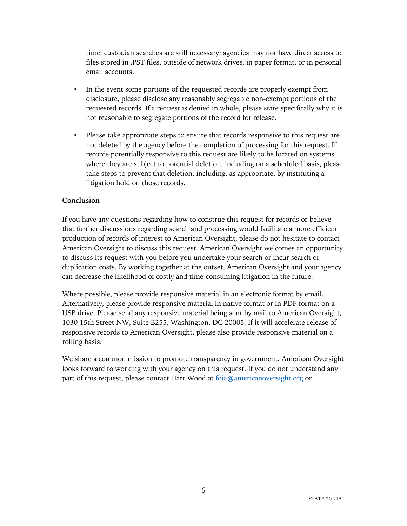time, custodian searches are still necessary; agencies may not have direct access to files stored in .PST files, outside of network drives, in paper format, or in personal email accounts.

- In the event some portions of the requested records are properly exempt from disclosure, please disclose any reasonably segregable non-exempt portions of the requested records. If a request is denied in whole, please state specifically why it is not reasonable to segregate portions of the record for release.
- Please take appropriate steps to ensure that records responsive to this request are not deleted by the agency before the completion of processing for this request. If records potentially responsive to this request are likely to be located on systems where they are subject to potential deletion, including on a scheduled basis, please take steps to prevent that deletion, including, as appropriate, by instituting a litigation hold on those records.

#### **Conclusion**

If you have any questions regarding how to construe this request for records or believe that further discussions regarding search and processing would facilitate a more efficient production of records of interest to American Oversight, please do not hesitate to contact American Oversight to discuss this request. American Oversight welcomes an opportunity to discuss its request with you before you undertake your search or incur search or duplication costs. By working together at the outset, American Oversight and your agency can decrease the likelihood of costly and time-consuming litigation in the future.

Where possible, please provide responsive material in an electronic format by email. Alternatively, please provide responsive material in native format or in PDF format on a USB drive. Please send any responsive material being sent by mail to American Oversight, 1030 15th Street NW, Suite B255, Washington, DC 20005. If it will accelerate release of responsive records to American Oversight, please also provide responsive material on a rolling basis.

We share a common mission to promote transparency in government. American Oversight looks forward to working with your agency on this request. If you do not understand any part of this request, please contact Hart Wood at foia@americanoversight.org or